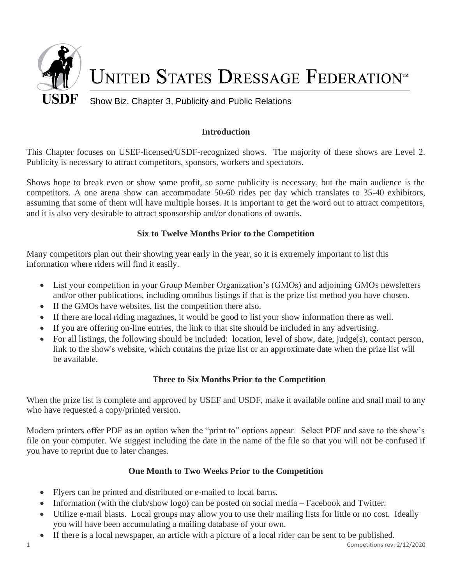

# **Introduction**

This Chapter focuses on USEF-licensed/USDF-recognized shows. The majority of these shows are Level 2. Publicity is necessary to attract competitors, sponsors, workers and spectators.

Shows hope to break even or show some profit, so some publicity is necessary, but the main audience is the competitors. A one arena show can accommodate 50-60 rides per day which translates to 35-40 exhibitors, assuming that some of them will have multiple horses. It is important to get the word out to attract competitors, and it is also very desirable to attract sponsorship and/or donations of awards.

## **Six to Twelve Months Prior to the Competition**

Many competitors plan out their showing year early in the year, so it is extremely important to list this information where riders will find it easily.

- List your competition in your Group Member Organization's (GMOs) and adjoining GMOs newsletters and/or other publications, including omnibus listings if that is the prize list method you have chosen.
- If the GMOs have websites, list the competition there also.
- If there are local riding magazines, it would be good to list your show information there as well.
- If you are offering on-line entries, the link to that site should be included in any advertising.
- For all listings, the following should be included: location, level of show, date, judge(s), contact person, link to the show's website, which contains the prize list or an approximate date when the prize list will be available.

## **Three to Six Months Prior to the Competition**

When the prize list is complete and approved by USEF and USDF, make it available online and snail mail to any who have requested a copy/printed version.

Modern printers offer PDF as an option when the "print to" options appear. Select PDF and save to the show's file on your computer. We suggest including the date in the name of the file so that you will not be confused if you have to reprint due to later changes.

# **One Month to Two Weeks Prior to the Competition**

- Flyers can be printed and distributed or e-mailed to local barns.
- Information (with the club/show logo) can be posted on social media Facebook and Twitter.
- Utilize e-mail blasts. Local groups may allow you to use their mailing lists for little or no cost. Ideally you will have been accumulating a mailing database of your own.
- If there is a local newspaper, an article with a picture of a local rider can be sent to be published.